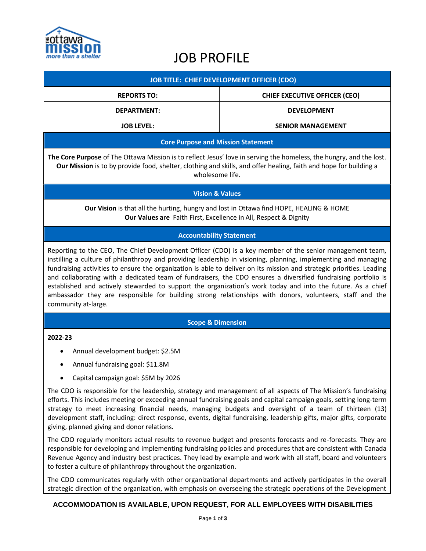

# JOB PROFILE

| <b>JOB TITLE: CHIEF DEVELOPMENT OFFICER (CDO)</b> |                                      |
|---------------------------------------------------|--------------------------------------|
| <b>REPORTS TO:</b>                                | <b>CHIEF EXECUTIVE OFFICER (CEO)</b> |
| <b>DEPARTMENT:</b>                                | <b>DEVELOPMENT</b>                   |
| <b>JOB LEVEL:</b>                                 | <b>SENIOR MANAGEMENT</b>             |
| Caro Durnace and Miccian Statement                |                                      |

## **Core Purpose and Mission Statement**

**The Core Purpose** of The Ottawa Mission is to reflect Jesus' love in serving the homeless, the hungry, and the lost. **Our Mission** is to by provide food, shelter, clothing and skills, and offer healing, faith and hope for building a wholesome life.

## **Vision & Values**

**Our Vision** is that all the hurting, hungry and lost in Ottawa find HOPE, HEALING & HOME **Our Values are** Faith First, Excellence in All, Respect & Dignity

## **Accountability Statement**

Reporting to the CEO, The Chief Development Officer (CDO) is a key member of the senior management team, instilling a culture of philanthropy and providing leadership in visioning, planning, implementing and managing fundraising activities to ensure the organization is able to deliver on its mission and strategic priorities. Leading and collaborating with a dedicated team of fundraisers, the CDO ensures a diversified fundraising portfolio is established and actively stewarded to support the organization's work today and into the future. As a chief ambassador they are responsible for building strong relationships with donors, volunteers, staff and the community at-large.

#### **Scope & Dimension**

#### **2022-23**

- Annual development budget: \$2.5M
- Annual fundraising goal: \$11.8M
- Capital campaign goal: \$5M by 2026

The CDO is responsible for the leadership, strategy and management of all aspects of The Mission's fundraising efforts. This includes meeting or exceeding annual fundraising goals and capital campaign goals, setting long-term strategy to meet increasing financial needs, managing budgets and oversight of a team of thirteen (13) development staff, including: direct response, events, digital fundraising, leadership gifts, major gifts, corporate giving, planned giving and donor relations.

The CDO regularly monitors actual results to revenue budget and presents forecasts and re-forecasts. They are responsible for developing and implementing fundraising policies and procedures that are consistent with Canada Revenue Agency and industry best practices. They lead by example and work with all staff, board and volunteers to foster a culture of philanthropy throughout the organization.

The CDO communicates regularly with other organizational departments and actively participates in the overall strategic direction of the organization, with emphasis on overseeing the strategic operations of the Development

## **ACCOMMODATION IS AVAILABLE, UPON REQUEST, FOR ALL EMPLOYEES WITH DISABILITIES**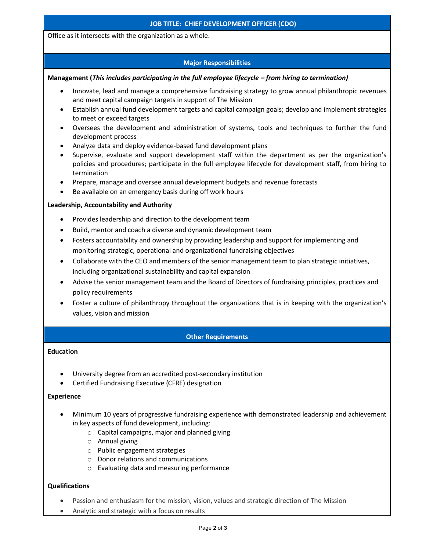Office as it intersects with the organization as a whole.

## **Major Responsibilities**

## **Management (***This includes participating in the full employee lifecycle – from hiring to termination)*

- Innovate, lead and manage a comprehensive fundraising strategy to grow annual philanthropic revenues and meet capital campaign targets in support of The Mission
- Establish annual fund development targets and capital campaign goals; develop and implement strategies to meet or exceed targets
- Oversees the development and administration of systems, tools and techniques to further the fund development process
- Analyze data and deploy evidence-based fund development plans
- Supervise, evaluate and support development staff within the department as per the organization's policies and procedures; participate in the full employee lifecycle for development staff, from hiring to termination
- Prepare, manage and oversee annual development budgets and revenue forecasts
- Be available on an emergency basis during off work hours

#### **Leadership, Accountability and Authority**

- Provides leadership and direction to the development team
- Build, mentor and coach a diverse and dynamic development team
- Fosters accountability and ownership by providing leadership and support for implementing and monitoring strategic, operational and organizational fundraising objectives
- Collaborate with the CEO and members of the senior management team to plan strategic initiatives, including organizational sustainability and capital expansion
- Advise the senior management team and the Board of Directors of fundraising principles, practices and policy requirements
- Foster a culture of philanthropy throughout the organizations that is in keeping with the organization's values, vision and mission

## **Other Requirements**

#### **Education**

- University degree from an accredited post-secondary institution
- Certified Fundraising Executive (CFRE) designation

#### **Experience**

- Minimum 10 years of progressive fundraising experience with demonstrated leadership and achievement in key aspects of fund development, including:
	- o Capital campaigns, major and planned giving
	- o Annual giving
	- o Public engagement strategies
	- o Donor relations and communications
	- o Evaluating data and measuring performance

## **Qualifications**

- Passion and enthusiasm for the mission, vision, values and strategic direction of The Mission
- Analytic and strategic with a focus on results